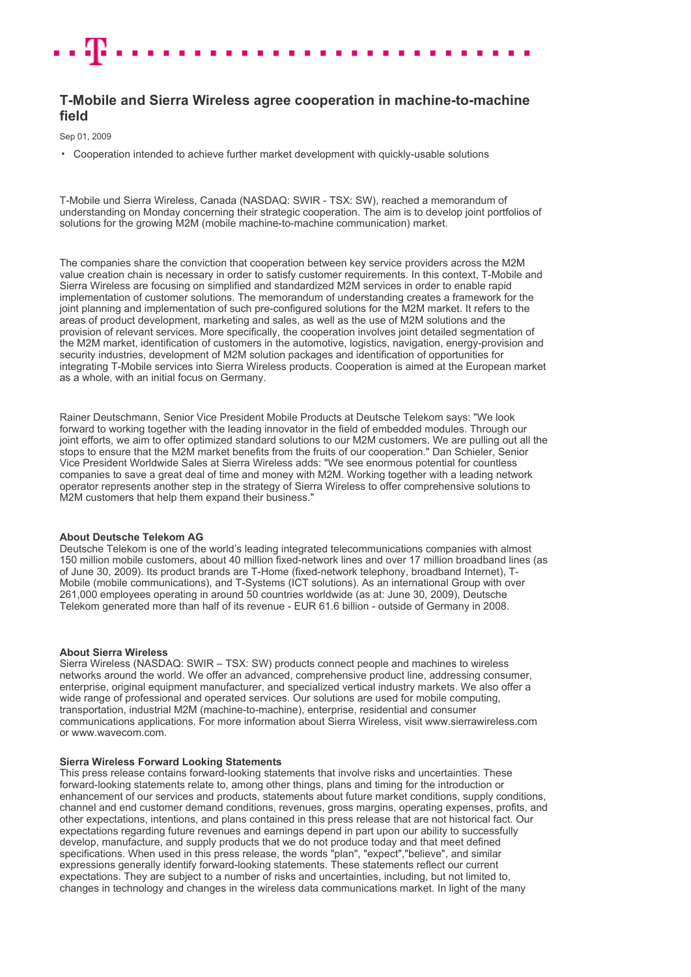# **T-Mobile and Sierra Wireless agree cooperation in machine-to-machine field**

Sep 01, 2009

• Cooperation intended to achieve further market development with quickly-usable solutions

T-Mobile und Sierra Wireless, Canada (NASDAQ: SWIR - TSX: SW), reached a memorandum of understanding on Monday concerning their strategic cooperation. The aim is to develop joint portfolios of solutions for the growing M2M (mobile machine-to-machine communication) market.

The companies share the conviction that cooperation between key service providers across the M2M value creation chain is necessary in order to satisfy customer requirements. In this context, T-Mobile and Sierra Wireless are focusing on simplified and standardized M2M services in order to enable rapid implementation of customer solutions. The memorandum of understanding creates a framework for the joint planning and implementation of such pre-configured solutions for the M2M market. It refers to the areas of product development, marketing and sales, as well as the use of M2M solutions and the provision of relevant services. More specifically, the cooperation involves joint detailed segmentation of the M2M market, identification of customers in the automotive, logistics, navigation, energy-provision and security industries, development of M2M solution packages and identification of opportunities for integrating T-Mobile services into Sierra Wireless products. Cooperation is aimed at the European market as a whole, with an initial focus on Germany.

Rainer Deutschmann, Senior Vice President Mobile Products at Deutsche Telekom says: "We look forward to working together with the leading innovator in the field of embedded modules. Through our joint efforts, we aim to offer optimized standard solutions to our M2M customers. We are pulling out all the stops to ensure that the M2M market benefits from the fruits of our cooperation." Dan Schieler, Senior Vice President Worldwide Sales at Sierra Wireless adds: "We see enormous potential for countless companies to save a great deal of time and money with M2M. Working together with a leading network operator represents another step in the strategy of Sierra Wireless to offer comprehensive solutions to M2M customers that help them expand their business."

### **About Deutsche Telekom AG**

Deutsche Telekom is one of the world's leading integrated telecommunications companies with almost 150 million mobile customers, about 40 million fixed-network lines and over 17 million broadband lines (as of June 30, 2009). Its product brands are T-Home (fixed-network telephony, broadband Internet), T-Mobile (mobile communications), and T-Systems (ICT solutions). As an international Group with over 261,000 employees operating in around 50 countries worldwide (as at: June 30, 2009), Deutsche Telekom generated more than half of its revenue - EUR 61.6 billion - outside of Germany in 2008.

## **About Sierra Wireless**

Sierra Wireless (NASDAQ: SWIR – TSX: SW) products connect people and machines to wireless networks around the world. We offer an advanced, comprehensive product line, addressing consumer, enterprise, original equipment manufacturer, and specialized vertical industry markets. We also offer a wide range of professional and operated services. Our solutions are used for mobile computing, transportation, industrial M2M (machine-to-machine), enterprise, residential and consumer communications applications. For more information about Sierra Wireless, visit www.sierrawireless.com or www.wavecom.com.

### **Sierra Wireless Forward Looking Statements**

This press release contains forward-looking statements that involve risks and uncertainties. These forward-looking statements relate to, among other things, plans and timing for the introduction or enhancement of our services and products, statements about future market conditions, supply conditions, channel and end customer demand conditions, revenues, gross margins, operating expenses, profits, and other expectations, intentions, and plans contained in this press release that are not historical fact. Our expectations regarding future revenues and earnings depend in part upon our ability to successfully develop, manufacture, and supply products that we do not produce today and that meet defined specifications. When used in this press release, the words "plan", "expect","believe", and similar expressions generally identify forward-looking statements. These statements reflect our current expectations. They are subject to a number of risks and uncertainties, including, but not limited to, changes in technology and changes in the wireless data communications market. In light of the many